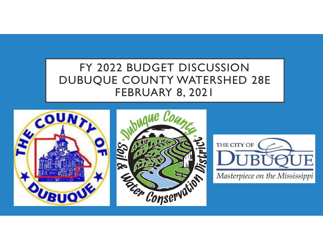# FY 2022 BUDGET DISCUSSION DUBUQUE COUNTY WATERSHED 28E FEBRUARY 8, 2021

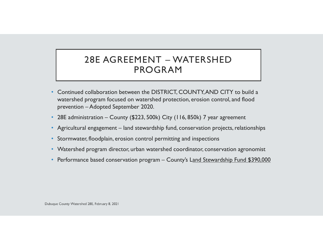#### 28E AGREEMENT – WATERSHED PROGRAM

- Continued collaboration between the DISTRICT, COUNTY, AND CITY to build a watershed program focused on watershed protection, erosion control, and flood prevention – Adopted September 2020.
- 28E administration County (\$223, 500k) City (116, 850k) 7 year agreement
- Agricultural engagement land stewardship fund, conservation projects, relationships
- Stormwater, floodplain, erosion control permitting and inspections
- Watershed program director, urban watershed coordinator, conservation agronomist
- Performance based conservation program County's L<u>and Stewardship Fund \$390,000</u>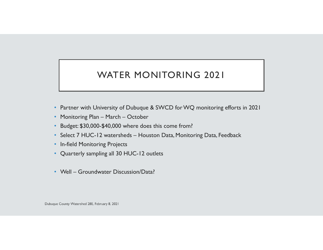## WATER MONITORING 2021

- Partner with University of Dubuque & SWCD for WQ monitoring efforts in 2021
- Monitoring Plan March October
- Budget: \$30,000-\$40,000 where does this come from?
- Select 7 HUC-12 watersheds Houston Data, Monitoring Data, Feedback
- In-field Monitoring Projects
- Quarterly sampling all 30 HUC-12 outlets
- Well Groundwater Discussion/Data?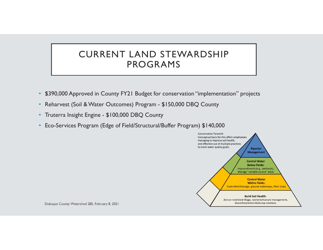#### CURRENT LAND STEWARDSHIP PROGRAMS

- \$390,000 Approved in County FY21 Budget for conservation "implementation" projects
- Reharvest (Soil & Water Outcomes) Program \$150,000 DBQ County
- Truterra Insight Engine \$100,000 DBQ County
- Eco-Services Program (Edge of Field/Structural/Buffer Program) \$140,000

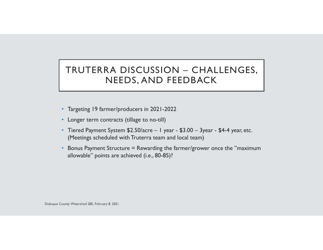#### TRUTERRA DISCUSSION – CHALLENGES, NEEDS, AND FEEDBACK

- Targeting 19 farmer/producers in 2021-2022
- Longer term contracts (tillage to no-till)
- Tiered Payment System \$2.50/acre 1 year \$3.00 3year \$4-4 year, etc. (Meetings scheduled with Truterra team and local team)
- • Bonus Payment Structure = Rewarding the farmer/grower once the "maximum allowable" points are achieved (i.e., 80-85)?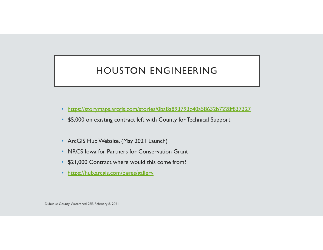## HOUSTON ENGINEERING

- https://storymaps.arcgis.com/stories/0ba8a893793c40a58632b7228f837327
- \$5,000 on existing contract left with County for Technical Support
- ArcGIS Hub Website. (May 2021 Launch)
- NRCS Iowa for Partners for Conservation Grant
- \$21,000 Contract where would this come from?
- https://hub.arcgis.com/pages/gallery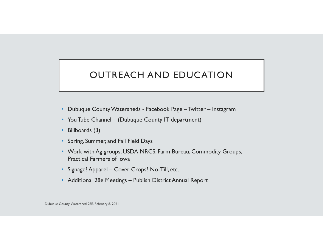## OUTREACH AND EDUCATION

- Dubuque County Watersheds Facebook Page Twitter Instagram
- You Tube Channel (Dubuque County IT department)
- Billboards (3)
- Spring, Summer, and Fall Field Days
- Work with Ag groups, USDA NRCS, Farm Bureau, Commodity Groups, Practical Farmers of Iowa
- Signage? Apparel Cover Crops? No-Till, etc.
- Additional 28e Meetings Publish District Annual Report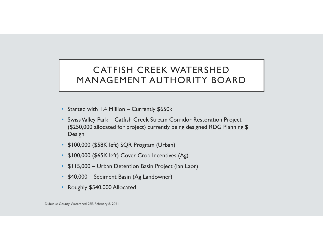#### CATFISH CREEK WATERSHED MANAGEMENT AUTHORITY BOARD

- Started with 1.4 Million Currently \$650k
- Swiss Valley Park Catfish Creek Stream Corridor Restoration Project (\$250,000 allocated for project) currently being designed RDG Planning \$ Design
- \$100,000 (\$58K left) SQR Program (Urban)
- \$100,000 (\$65K left) Cover Crop Incentives (Ag)
- \$115,000 Urban Detention Basin Project (Ian Laor)
- \$40,000 Sediment Basin (Ag Landowner)
- Roughly \$540,000 Allocated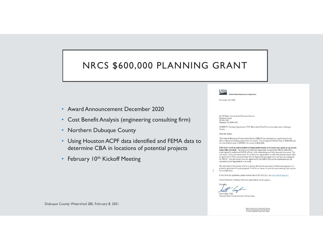## NRCS \$600,000 PLANNING GRANT

- Award Announcement December 2020
- Cost Benefit Analysis (engineering consulting firm)
- Northern Dubuque County
- Using Houston ACPF data identified and FEMA data to determine CBA in locations of potential projects
- February 10<sup>th</sup> Kickoff Meeting



United States Department of Agriculture

November 20, 2020

Mr. Ed Raber, Interim Board Executive Director Dubuque County<br>PO Box 5001 Dubuque, IA 52004-5001

SUBJECT: Funding Opportunity FY21 Watershed Flood Prevention Operation, Dubuque County

Dear Mr. Raber.

The Natural Resources Conservation Service (NRCS) has selected your application for the above referenced funding opportunity for award. The anticipated Federal share is \$600,000 and the non-Federal share is \$50,000, for a total of \$650,000.

This letter is not an authorization to begin performance or to incur costs prior to an award being fully executed. The Notice of Grant and Agreement Award (form NRCS-ADS-093), when signed by authorized NRCS official, is the authorizing and fully executed document. The incurrence of any pre-award costs, for which your organization would seek reimbursement after an agreement is fully executed, must first be negotiated and approved in advance in writing by the NRCS. Any pre-award costs not approved by the NRCS will not be reimbursed and are incurred at your organization's own risk

The next step in the process will be to discuss the details associated with the development of a potential agreement for your proposal. I will be in contact to provide some meeting date options for consideration.

If you have any questions, please contact me at 515-323-2211 or scott.cagle@usda.gov.

I look forward to working with your organization on this project.

Scott Cagle, PhD

Assistant State Conservationist, Partnerships

irants and Agreements Serv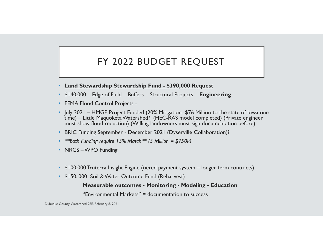## FY 2022 BUDGET REQUEST

- **Land Stewardship Stewardship Fund - \$390,000 Request**
- \$140,000 Edge of Field Buffers Structural Projects **Engineering**
- FEMA Flood Control Projects -
- July 2021 HMGP Project Funded (20% Mitigation -\$76 Million to the state of Iowa one time) – Little Maquoketa Watershed? (HEC-RAS model completed) (Private engineer must show flood reduction) (Willing landowners must sign documentation before)
- BRIC Funding September December 2021 (Dyserville Collaboration)?
- *\*\*Both Funding require 15% Match\*\* (5 Million = \$750k)*
- NRCS WPO Funding
- \$100,000 Truterra Insight Engine (tiered payment system longer term contracts)
- \$150, 000 Soil & Water Outcome Fund (Reharvest)

#### **Measurable outcomes - Monitoring - Modeling - Education**

"Environmental Markets" = documentation to success